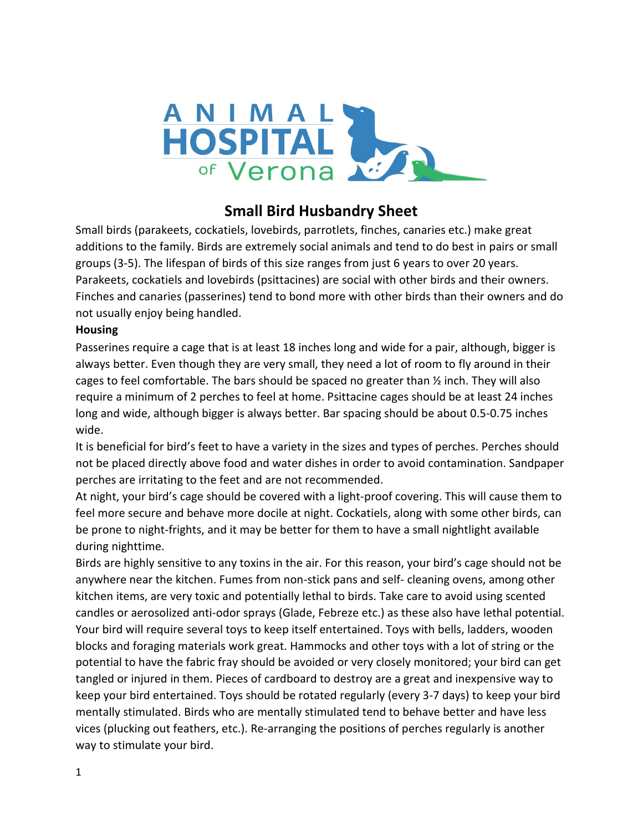

# **Small Bird Husbandry Sheet**

Small birds (parakeets, cockatiels, lovebirds, parrotlets, finches, canaries etc.) make great additions to the family. Birds are extremely social animals and tend to do best in pairs or small groups (3-5). The lifespan of birds of this size ranges from just 6 years to over 20 years. Parakeets, cockatiels and lovebirds (psittacines) are social with other birds and their owners. Finches and canaries (passerines) tend to bond more with other birds than their owners and do not usually enjoy being handled.

### **Housing**

Passerines require a cage that is at least 18 inches long and wide for a pair, although, bigger is always better. Even though they are very small, they need a lot of room to fly around in their cages to feel comfortable. The bars should be spaced no greater than ½ inch. They will also require a minimum of 2 perches to feel at home. Psittacine cages should be at least 24 inches long and wide, although bigger is always better. Bar spacing should be about 0.5-0.75 inches wide.

It is beneficial for bird's feet to have a variety in the sizes and types of perches. Perches should not be placed directly above food and water dishes in order to avoid contamination. Sandpaper perches are irritating to the feet and are not recommended.

At night, your bird's cage should be covered with a light-proof covering. This will cause them to feel more secure and behave more docile at night. Cockatiels, along with some other birds, can be prone to night-frights, and it may be better for them to have a small nightlight available during nighttime.

Birds are highly sensitive to any toxins in the air. For this reason, your bird's cage should not be anywhere near the kitchen. Fumes from non-stick pans and self- cleaning ovens, among other kitchen items, are very toxic and potentially lethal to birds. Take care to avoid using scented candles or aerosolized anti-odor sprays (Glade, Febreze etc.) as these also have lethal potential. Your bird will require several toys to keep itself entertained. Toys with bells, ladders, wooden blocks and foraging materials work great. Hammocks and other toys with a lot of string or the potential to have the fabric fray should be avoided or very closely monitored; your bird can get tangled or injured in them. Pieces of cardboard to destroy are a great and inexpensive way to keep your bird entertained. Toys should be rotated regularly (every 3-7 days) to keep your bird mentally stimulated. Birds who are mentally stimulated tend to behave better and have less vices (plucking out feathers, etc.). Re-arranging the positions of perches regularly is another way to stimulate your bird.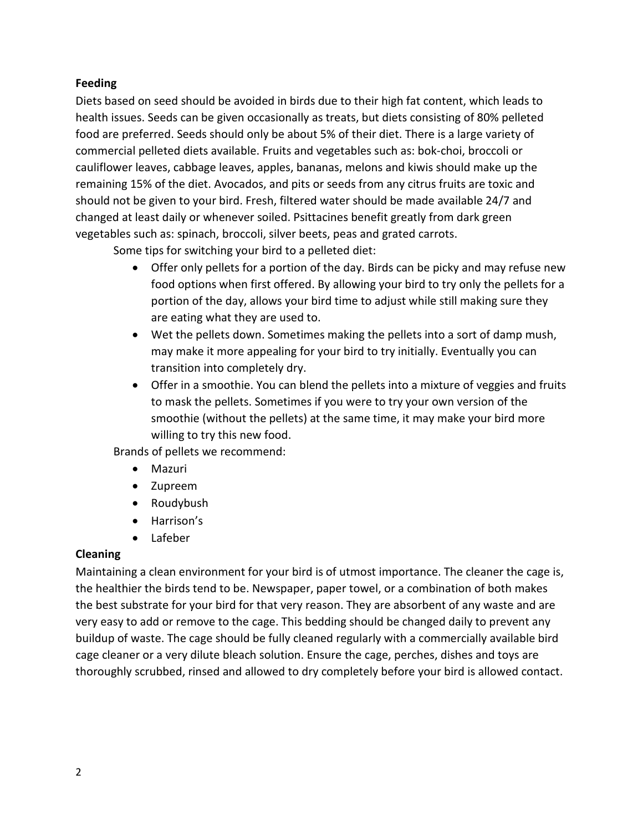### **Feeding**

Diets based on seed should be avoided in birds due to their high fat content, which leads to health issues. Seeds can be given occasionally as treats, but diets consisting of 80% pelleted food are preferred. Seeds should only be about 5% of their diet. There is a large variety of commercial pelleted diets available. Fruits and vegetables such as: bok-choi, broccoli or cauliflower leaves, cabbage leaves, apples, bananas, melons and kiwis should make up the remaining 15% of the diet. Avocados, and pits or seeds from any citrus fruits are toxic and should not be given to your bird. Fresh, filtered water should be made available 24/7 and changed at least daily or whenever soiled. Psittacines benefit greatly from dark green vegetables such as: spinach, broccoli, silver beets, peas and grated carrots.

Some tips for switching your bird to a pelleted diet:

- Offer only pellets for a portion of the day. Birds can be picky and may refuse new food options when first offered. By allowing your bird to try only the pellets for a portion of the day, allows your bird time to adjust while still making sure they are eating what they are used to.
- Wet the pellets down. Sometimes making the pellets into a sort of damp mush, may make it more appealing for your bird to try initially. Eventually you can transition into completely dry.
- Offer in a smoothie. You can blend the pellets into a mixture of veggies and fruits to mask the pellets. Sometimes if you were to try your own version of the smoothie (without the pellets) at the same time, it may make your bird more willing to try this new food.

Brands of pellets we recommend:

- Mazuri
- Zupreem
- Roudybush
- Harrison's
- Lafeber

#### **Cleaning**

Maintaining a clean environment for your bird is of utmost importance. The cleaner the cage is, the healthier the birds tend to be. Newspaper, paper towel, or a combination of both makes the best substrate for your bird for that very reason. They are absorbent of any waste and are very easy to add or remove to the cage. This bedding should be changed daily to prevent any buildup of waste. The cage should be fully cleaned regularly with a commercially available bird cage cleaner or a very dilute bleach solution. Ensure the cage, perches, dishes and toys are thoroughly scrubbed, rinsed and allowed to dry completely before your bird is allowed contact.